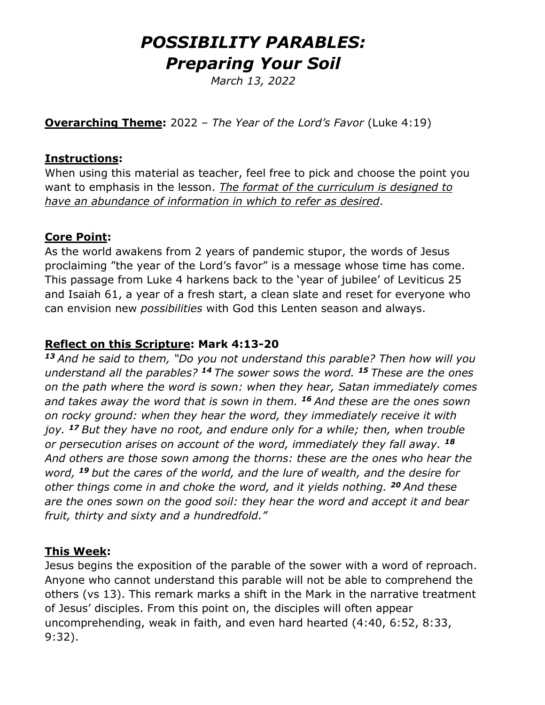# *POSSIBILITY PARABLES: Preparing Your Soil*

*March 13, 2022*

**Overarching Theme:** 2022 – *The Year of the Lord's Favor* (Luke 4:19)

### **Instructions:**

When using this material as teacher, feel free to pick and choose the point you want to emphasis in the lesson. *The format of the curriculum is designed to have an abundance of information in which to refer as desired*.

## **Core Point:**

As the world awakens from 2 years of pandemic stupor, the words of Jesus proclaiming "the year of the Lord's favor" is a message whose time has come. This passage from Luke 4 harkens back to the 'year of jubilee' of Leviticus 25 and Isaiah 61, a year of a fresh start, a clean slate and reset for everyone who can envision new *possibilities* with God this Lenten season and always.

## **Reflect on this Scripture: Mark 4:13-20**

*<sup>13</sup>And he said to them, "Do you not understand this parable? Then how will you understand all the parables? <sup>14</sup>The sower sows the word. <sup>15</sup>These are the ones on the path where the word is sown: when they hear, Satan immediately comes and takes away the word that is sown in them. <sup>16</sup>And these are the ones sown on rocky ground: when they hear the word, they immediately receive it with joy. <sup>17</sup>But they have no root, and endure only for a while; then, when trouble or persecution arises on account of the word, immediately they fall away. <sup>18</sup> And others are those sown among the thorns: these are the ones who hear the word, <sup>19</sup>but the cares of the world, and the lure of wealth, and the desire for other things come in and choke the word, and it yields nothing. <sup>20</sup>And these are the ones sown on the good soil: they hear the word and accept it and bear fruit, thirty and sixty and a hundredfold."*

### **This Week:**

Jesus begins the exposition of the parable of the sower with a word of reproach. Anyone who cannot understand this parable will not be able to comprehend the others (vs 13). This remark marks a shift in the Mark in the narrative treatment of Jesus' disciples. From this point on, the disciples will often appear uncomprehending, weak in faith, and even hard hearted (4:40, 6:52, 8:33, 9:32).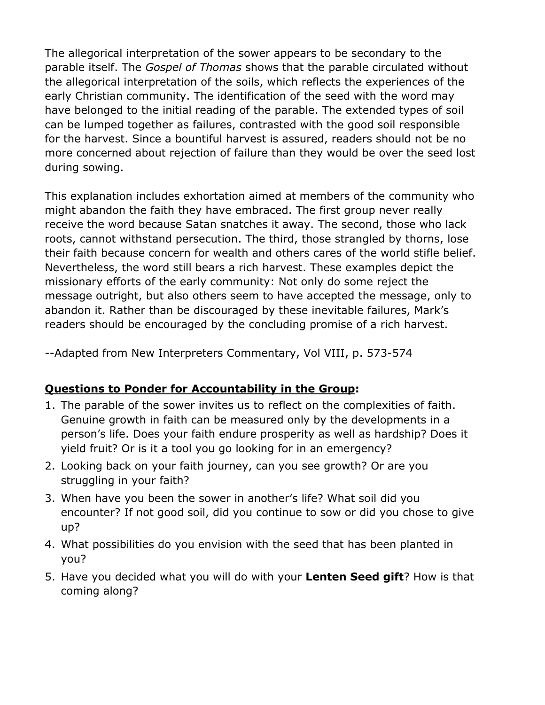The allegorical interpretation of the sower appears to be secondary to the parable itself. The *Gospel of Thomas* shows that the parable circulated without the allegorical interpretation of the soils, which reflects the experiences of the early Christian community. The identification of the seed with the word may have belonged to the initial reading of the parable. The extended types of soil can be lumped together as failures, contrasted with the good soil responsible for the harvest. Since a bountiful harvest is assured, readers should not be no more concerned about rejection of failure than they would be over the seed lost during sowing.

This explanation includes exhortation aimed at members of the community who might abandon the faith they have embraced. The first group never really receive the word because Satan snatches it away. The second, those who lack roots, cannot withstand persecution. The third, those strangled by thorns, lose their faith because concern for wealth and others cares of the world stifle belief. Nevertheless, the word still bears a rich harvest. These examples depict the missionary efforts of the early community: Not only do some reject the message outright, but also others seem to have accepted the message, only to abandon it. Rather than be discouraged by these inevitable failures, Mark's readers should be encouraged by the concluding promise of a rich harvest.

--Adapted from New Interpreters Commentary, Vol VIII, p. 573-574

### **Questions to Ponder for Accountability in the Group:**

- 1. The parable of the sower invites us to reflect on the complexities of faith. Genuine growth in faith can be measured only by the developments in a person's life. Does your faith endure prosperity as well as hardship? Does it yield fruit? Or is it a tool you go looking for in an emergency?
- 2. Looking back on your faith journey, can you see growth? Or are you struggling in your faith?
- 3. When have you been the sower in another's life? What soil did you encounter? If not good soil, did you continue to sow or did you chose to give up?
- 4. What possibilities do you envision with the seed that has been planted in you?
- 5. Have you decided what you will do with your **Lenten Seed gift**? How is that coming along?